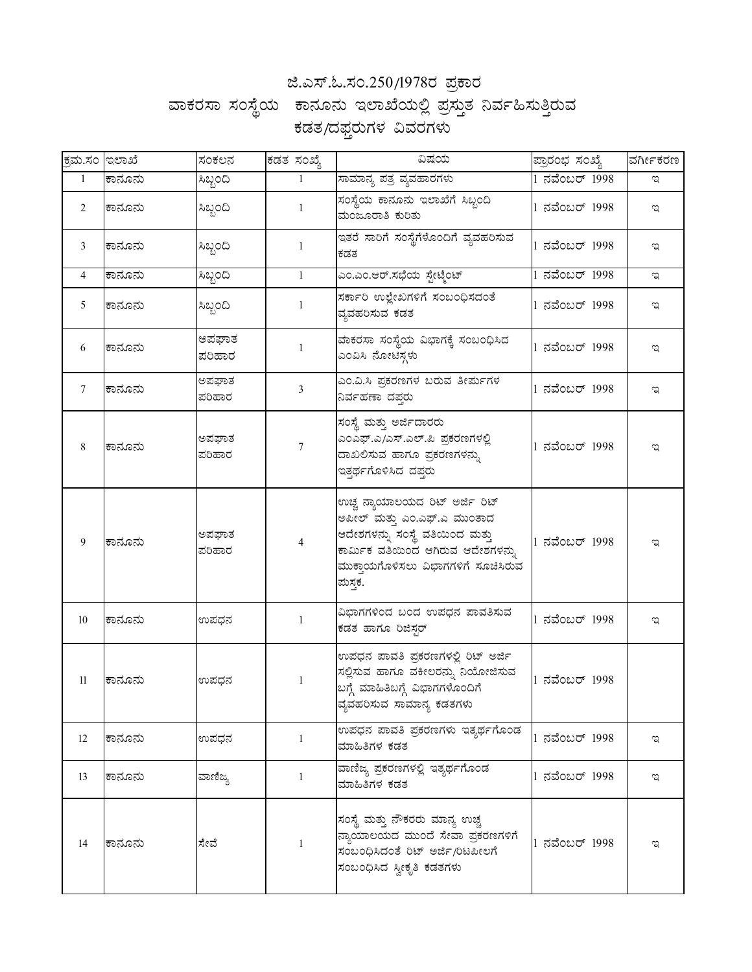## ಜಿ.ಎಸ್.ಓ.ಸಂ.250/1978ರ ಪ್ರಕಾರ

## ವಾಕರಸಾ ಸಂಸ್ಥೆಯ ಕಾನೂನು ಇಲಾಖೆಯಲ್ಲಿ ಪ್ರಸ್ತುತ ನಿರ್ವಹಿಸುತ್ತಿರುವ ಕಡತ/ದಫ್ತರುಗಳ ವಿವರಗಳು

| ಕ್ರಮ.ಸಂ ಇಲಾಖೆ     |        | ಸಂಕಲನ           | ಕಡತ ಸಂಖ್ಯೆ     | ವಿಷಯ                                                                                                                                                                                   | ಪ್ರಾರಂಭ ಸಂಖ್ಯೆ | ವರ್ಗೀಕರಣ |
|-------------------|--------|-----------------|----------------|----------------------------------------------------------------------------------------------------------------------------------------------------------------------------------------|----------------|----------|
| $\mathbf{1}$      | ಕಾನೂನು | ಸಿಬ್ಬಂದಿ        | $\mathbf{1}$   | ಸಾಮಾನ್ಯ ಪತ್ರ ವ್ಯವಹಾರಗಳು                                                                                                                                                                | 1 ನವೆಂಬರ್ 1998 | ಇ        |
| $\overline{2}$    | ಕಾನೂನು | ಸಿಬ್ಬಂದಿ        | $\mathbf{1}$   | ಸಂಸ್ಥೆಯ ಕಾನೂನು ಇಲಾಖೆಗೆ ಸಿಬ್ಬಂದಿ<br>ಮಂಜೂರಾತಿ ಕುರಿತು                                                                                                                                     | 1 ನವೆಂಬರ್ 1998 | ಇ        |
| 3                 | ಕಾನೂನು | ಸಿಬ್ಬಂದಿ        | 1              | ಇತರೆ ಸಾರಿಗೆ ಸಂಸ್ಥೆಗೆಳೊಂದಿಗೆ ವ್ಯವಹರಿಸುವ<br>ಕಡತ                                                                                                                                          | 1 ನವೆಂಬರ್ 1998 | ಇ        |
| $\overline{4}$    | ಕಾನೂನು | ಸಿಬ್ಬಂದಿ        | $\mathbf{1}$   | ಎಂ.ಎಂ.ಆರ್.ಸಭೆಯ ಸ್ಪೇಟ್ಮೆಂಟ್                                                                                                                                                             | 1 ನವೆಂಬರ್ 1998 | ಇ        |
| 5                 | ಕಾನೂನು | ಸಿಬ್ಬಂದಿ        | 1              | ಸರ್ಕಾರಿ ಉಲ್ಲೇಖಗಳಿಗೆ ಸಂಬಂಧಿಸದಂತೆ<br>ವ್ಯವಹರಿಸುವ ಕಡತ                                                                                                                                      | 1 ನವೆಂಬರ್ 1998 | ಇ        |
| 6                 | ಕಾನೂನು | ಅಪಘಾತ<br>ಪರಿಹಾರ | $\mathbf{1}$   | ವಾಕರಸಾ ಸಂಸ್ಥೆಯ ವಿಭಾಗಕ್ಕೆ ಸಂಬಂಧಿಸಿದ<br>ಎಂವಿಸಿ ನೋಟಿಸ್ಗಳು                                                                                                                                 | 1 ನವೆಂಬರ್ 1998 | ಇ        |
| 7                 | ಕಾನೂನು | ಅಪಘಾತ<br>ಪರಿಹಾರ | 3              | ಎಂ.ವಿ.ಸಿ ಪ್ರಕರಣಗಳ ಬರುವ ತೀರ್ಮಗಳ<br>ನಿರ್ವಹಣಾ ದಪ್ಪರ                                                                                                                                       | 1 ನವೆಂಬರ್ 1998 | ಇ        |
| 8                 | ಕಾನೂನು | ಅಪಘಾತ<br>ಪರಿಹಾರ | $\tau$         | ಸಂಸ್ಥೆ ಮತ್ತು ಅರ್ಜಿದಾರರು<br>ಎಂಎಫ್.ಎ/ಎಸ್.ಎಲ್.ಪಿ ಪ್ರಕರಣಗಳಲ್ಲಿ<br>ದಾಖಲಿಸುವ ಹಾಗೂ ಪ್ರಕರಣಗಳನ್ನು<br>ಇತ್ತರ್ಥಗೊಳಿಸಿದ ದಪ್ಪರು                                                                      | 1 ನವೆಂಬರ್ 1998 | ಇ        |
| 9                 | ಕಾನೂನು | ಅಪಘಾತ<br>ಪರಿಹಾರ | $\overline{4}$ | ಉಚ್ಚ ನ್ಯಾಯಾಲಯದ ರಿಟ್ ಅರ್ಜಿ ರಿಟ್<br>ಅಪೀಲ್ ಮತ್ತು ಎಂ.ಎಫ್.ಎ ಮುಂತಾದ<br>ಆದೇಶಗಳನ್ನು ಸಂಸ್ಥೆ ವತಿಯಿಂದ ಮತ್ತು<br>ಕಾರ್ಮಿಕ ವತಿಯಿಂದ ಆಗಿರುವ ಆದೇಶಗಳನ್ನು<br>ಮುಕ್ತಾಯಗೊಳಿಸಲು ವಿಭಾಗಗಳಿಗೆ ಸೂಚಿಸಿರುವ<br>ಮಸ್ತಕ. | 1 ನವೆಂಬರ್ 1998 | ಇ        |
| 10                | ಕಾನೂನು | ಉಪಧನ            | $\mathbf{1}$   | ವಿಭಾಗಗಳಿಂದ ಬಂದ ಉಪಧನ ಪಾವತಿಸುವ<br>ಕಡತ ಹಾಗೂ ರಿಜಿಸ್ಗರ್                                                                                                                                     | 1 ನವೆಂಬರ್ 1998 | ಇ        |
| 11                | ಕಾನೂನು | ಉಪಧನ            | 1              | ಉಪಧನ ಪಾವತಿ ಪ್ರಕರಣಗಳಲ್ಲಿ ರಿಟ್ ಅರ್ಜಿ<br><mark>ಸಲ್ಲಿಸುವ ಹಾಗೂ ವಕೀಲರನ್ನು ನಿಯೋಜಿಸುವ</mark><br>ಬಗ್ಗೆ ಮಾಹಿತಿಬಗ್ಗೆ ವಿಭಾಗಗಳೊಂದಿಗೆ<br> ವ್ಯವಹರಿಸುವ ಸಾಮಾನ್ಯ ಕಡತಗಳು                                  | 1 ನವೆಂಬರ್ 1998 |          |
| $12 \overline{ }$ | ಕಾನೂನು | ಉಪಧನ            | $\mathbf{1}$   | ಉಪಧನ ಪಾವತಿ ಪ್ರಕರಣಗಳು ಇತ್ಯರ್ಥಗೊಂಡ<br>ಮಾಹಿತಿಗಳ ಕಡತ                                                                                                                                       | 1 ನವೆಂಬರ್ 1998 | ಇ        |
| 13                | ಕಾನೂನು | ವಾಣಿಜ್ಯ         | 1              | ವಾಣಿಜ್ಯ ಪ್ರಕರಣಗಳಲ್ಲಿ ಇತ್ಯರ್ಥಗೊಂಡ<br>ಮಾಹಿತಿಗಳ ಕಡತ                                                                                                                                       | 1 ನವೆಂಬರ್ 1998 | ಇ        |
| 14                | ಕಾನೂನು | ಸೇವೆ            | $\mathbf{1}$   | ಸಂಸ್ಥೆ ಮತ್ತು ನೌಕರರು ಮಾನ್ಯ ಉಚ್ಚ<br>ನ್ಯಾಯಾಲಯದ ಮುಂದೆ ಸೇವಾ ಪ್ರಕರಣಗಳಿಗೆ<br>ಸಂಬಂಧಿಸಿದಂತೆ ರಿಟ್ ಅರ್ಜಿ/ರಿಟಪೀಲಗೆ<br>ಸಂಬಂಧಿಸಿದ ಸ್ವೀಕೃತಿ ಕಡತಗಳು                                                    | 1 ನವೆಂಬರ್ 1998 | ಇ        |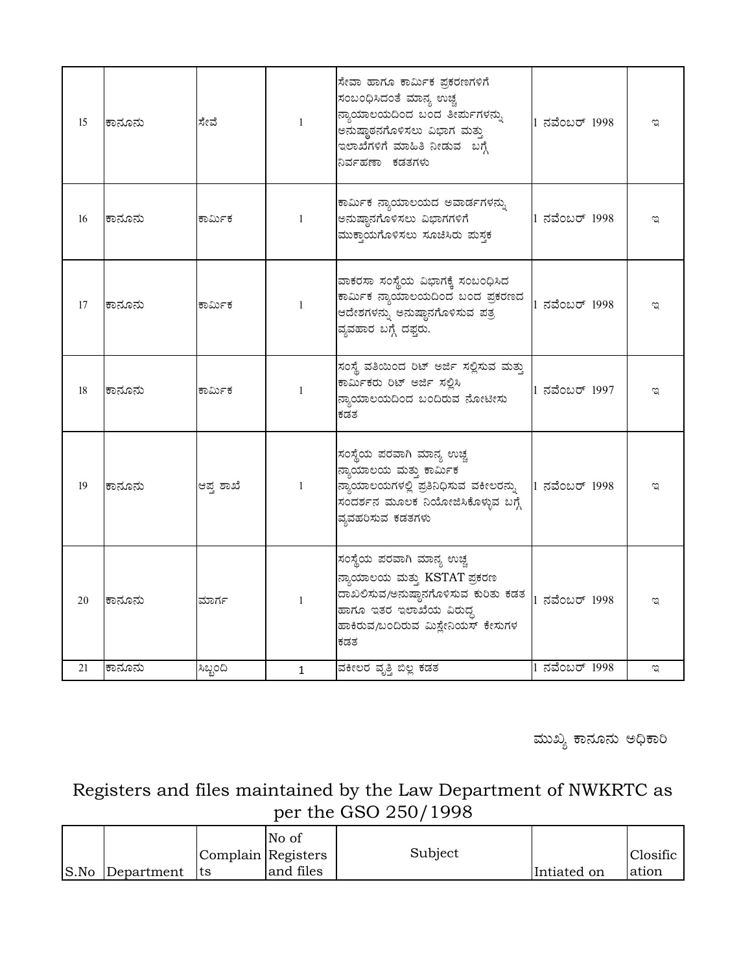| 15 | ಕಾನೂನು | ಸೇವೆ      | 1              | ಸೇವಾ ಹಾಗೂ ಕಾರ್ಮಿಕ ಪ್ರಕರಣಗಳಿಗೆ<br>ಸಂಬಂಧಿಸಿದಂತೆ ಮಾನ್ಯ ಉಚ್ಚ<br>ನ್ಯಾಯಾಲಯದಿಂದ ಬಂದ ತೀರ್ಪುಗಳನ್ನು<br>ಅನುಷ್ಠಾರನಗೊಳಿಸಲು ವಿಭಾಗ ಮತ್ತು<br>ಇಲಾಖೆಗಳಿಗೆ ಮಾಹಿತಿ ನೀಡುವ ಬಗ್ಗೆ<br>ನಿರ್ವಹಣಾ ಕಡತಗಳು | 1 ನವೆಂಬರ್ 1998 | ಇ |
|----|--------|-----------|----------------|-------------------------------------------------------------------------------------------------------------------------------------------------------------------------------|----------------|---|
| 16 | ಕಾನೂನು | ಕಾರ್ಮಿಕ   | $\mathbf{1}$   | ಕಾರ್ಮಿಕ ನ್ಯಾಯಾಲಯದ ಅವಾರ್ಡಗಳನ್ನು<br>ಅನುಷ್ಠಾನಗೊಳಿಸಲು ವಿಭಾಗಗಳಿಗೆ<br>ಮುಕ್ತಾಯಗೊಳಿಸಲು ಸೂಚಿಸಿರು ಮಸ್ಥಕ                                                                                 | 1 ನವೆಂಬರ್ 1998 | ಇ |
| 17 | ಕಾನೂನು | ಕಾರ್ಮಿಕ   | $\mathbf{1}$   | ವಾಕರಸಾ ಸಂಸ್ಥೆಯ ವಿಭಾಗಕ್ಕೆ ಸಂಬಂಧಿಸಿದ<br>ಕಾರ್ಮಿಕ ನ್ಯಾಯಾಲಯದಿಂದ ಬಂದ ಪ್ರಕರಣದ<br>ಆದೇಶಗಳನ್ನು ಅನುಷ್ಠಾನಗೊಳಿಸುವ ಪತ್ರ<br>ವ್ಯವಹಾರ ಬಗ್ಗೆ ದಫ್ತರು.                                            | 1 ನವೆಂಬರ್ 1998 | ಇ |
| 18 | ಕಾನೂನು | ಕಾರ್ಮಿಕ   | 1              | ಸಂಸ್ಥೆ ವತಿಯಿಂದ ರಿಟ್ ಅರ್ಜಿ ಸಲ್ಲಿಸುವ ಮತ್ತು<br>ಕಾರ್ಮಿಕರು ರಿಟ್ ಅರ್ಜಿ ಸಲ್ಲಿಸಿ<br>ನ್ಯಾಯಾಲಯದಿಂದ ಬಂದಿರುವ ನೋಟೀಸು<br>ಕಡತ                                                                | 1 ನವೆಂಬರ್ 1997 | ಇ |
| 19 | ಕಾನೂನು | ಆಪ್ತ ಶಾಖೆ | 1              | ಸಂಸ್ಥೆಯ ಪರವಾಗಿ ಮಾನ್ಯ ಉಚ್ಚ<br>ನ್ಯಾಯಾಲಯ ಮತ್ತು ಕಾರ್ಮಿಕ<br>ನ್ಯಾಯಾಲಯಗಳಲ್ಲಿ ಪ್ರತಿನಿಧಿಸುವ ವಕೀಲರನ್ನು<br>ಸಂದರ್ಶನ ಮೂಲಕ ನಿಯೋಜಿಸಿಕೊಳ್ಳುವ ಬಗ್ಗೆ<br>ವ್ಯವಹರಿಸುವ ಕಡತಗಳು                       | 1 ನವೆಂಬರ್ 1998 |   |
| 20 | ಕಾನೂನು | ಮಾರ್ಗ     | $\overline{1}$ | ಸಂಸ್ಥೆಯ ಪರವಾಗಿ ಮಾನ್ಯ ಉಚ್ಚ<br>ನ್ಯಾಯಾಲಯ ಮತ್ತು KSTAT ಪ್ರಕರಣ<br>ದಾಖಲಿಸುವ/ಅನುಷ್ಠಾನಗೊಳಿಸುವ ಕುರಿತು ಕಡತ<br>ಹಾಗೂ ಇತರ ಇಲಾಖೆಯ ವಿರುದ್ಧ<br>ಹಾಕಿರುವ/ಬಂದಿರುವ ಮಿಸ್ಲೇನಿಯಸ್ ಕೇಸುಗಳ<br>ಕಡತ       | 1 ನವೆಂಬರ್ 1998 | ಇ |
| 21 | ಕಾನೂನು | ಸಿಬ್ಬಂದಿ  | $\mathbf{1}$   | ವಕೀಲರ ವೃತ್ತಿ ಬಿಲ್ಲ ಕಡತ                                                                                                                                                        | 1 ನವೆಂಬರ್ 1998 | ಇ |

ಮುಖ್ಯ ಕಾನೂನು ಅಧಿಕಾರಿ

Registers and files maintained by the Law Department of NWKRTC as per the GSO 250/1998

|      |            |                    | No of     |         |             |          |
|------|------------|--------------------|-----------|---------|-------------|----------|
|      |            | Complain Registers |           | Subject |             | Closific |
| S.No | Department | Its                | and files |         | Intiated on | lation   |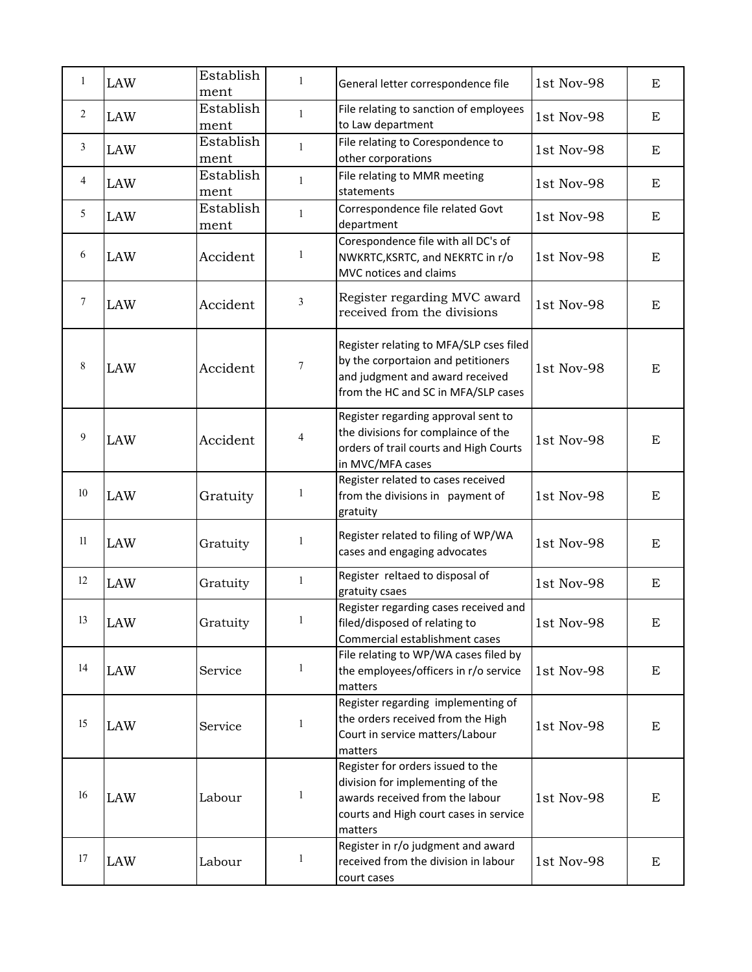| 1      | <b>LAW</b> | Establish<br>ment | $\mathbf{1}$   | General letter correspondence file                                                                                                                            | 1st Nov-98 | E         |
|--------|------------|-------------------|----------------|---------------------------------------------------------------------------------------------------------------------------------------------------------------|------------|-----------|
| 2      | <b>LAW</b> | Establish<br>ment | $\mathbf{1}$   | File relating to sanction of employees<br>to Law department                                                                                                   | 1st Nov-98 | E         |
| 3      | <b>LAW</b> | Establish<br>ment | $\mathbf{1}$   | File relating to Corespondence to<br>other corporations                                                                                                       | 1st Nov-98 | E         |
| 4      | <b>LAW</b> | Establish<br>ment | $\mathbf{1}$   | File relating to MMR meeting<br>statements                                                                                                                    | 1st Nov-98 | E         |
| 5      | <b>LAW</b> | Establish<br>ment | $\mathbf{1}$   | Correspondence file related Govt<br>department                                                                                                                | 1st Nov-98 | E         |
| 6      | LAW        | Accident          | 1              | Corespondence file with all DC's of<br>NWKRTC, KSRTC, and NEKRTC in r/o<br>MVC notices and claims                                                             | 1st Nov-98 | E         |
| $\tau$ | LAW        | Accident          | $\mathbf{3}$   | Register regarding MVC award<br>received from the divisions                                                                                                   | 1st Nov-98 | ${\bf E}$ |
| 8      | LAW        | Accident          | $\tau$         | Register relating to MFA/SLP cses filed<br>by the corportaion and petitioners<br>and judgment and award received<br>from the HC and SC in MFA/SLP cases       | 1st Nov-98 | E         |
| 9      | LAW        | Accident          | $\overline{4}$ | Register regarding approval sent to<br>the divisions for complaince of the<br>orders of trail courts and High Courts<br>in MVC/MFA cases                      | 1st Nov-98 | ${\bf E}$ |
| 10     | LAW        | Gratuity          | 1              | Register related to cases received<br>from the divisions in payment of<br>gratuity                                                                            | 1st Nov-98 | E         |
| 11     | <b>LAW</b> | Gratuity          | 1              | Register related to filing of WP/WA<br>cases and engaging advocates                                                                                           | 1st Nov-98 | E         |
| 12     | <b>LAW</b> | Gratuity          | $\mathbf{1}$   | Register reltaed to disposal of<br>gratuity csaes                                                                                                             | 1st Nov-98 | E         |
| 13     | LAW        | Gratuity          | 1              | Register regarding cases received and<br>filed/disposed of relating to<br>Commercial establishment cases                                                      | 1st Nov-98 | E         |
| 14     | LAW        | Service           | $\mathbf{1}$   | File relating to WP/WA cases filed by<br>the employees/officers in r/o service<br>matters                                                                     | 1st Nov-98 | E         |
| 15     | LAW        | Service           | $\mathbf{1}$   | Register regarding implementing of<br>the orders received from the High<br>Court in service matters/Labour<br>matters                                         | 1st Nov-98 | E         |
| 16     | LAW        | Labour            | $\mathbf{1}$   | Register for orders issued to the<br>division for implementing of the<br>awards received from the labour<br>courts and High court cases in service<br>matters | 1st Nov-98 | E         |
| 17     | LAW        | Labour            | $\mathbf{1}$   | Register in r/o judgment and award<br>received from the division in labour<br>court cases                                                                     | 1st Nov-98 | E         |